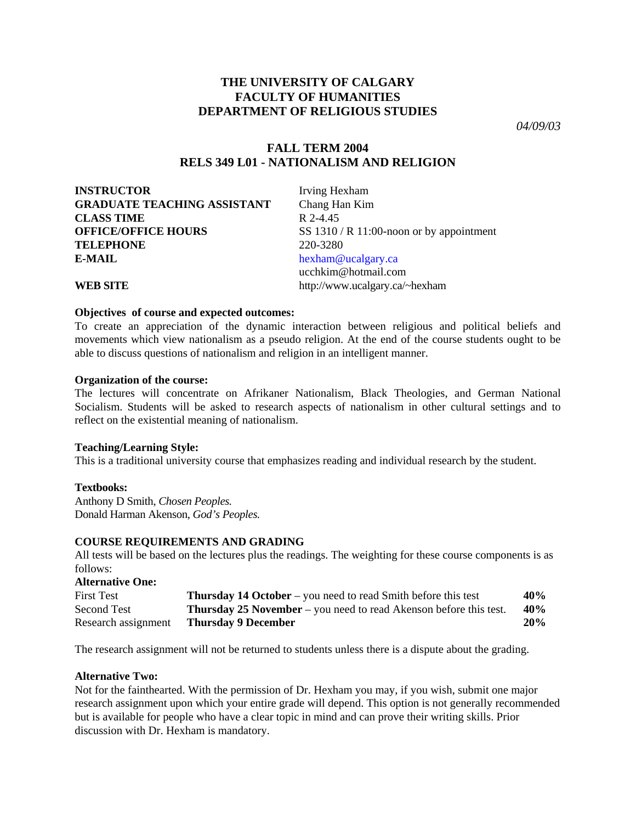# **THE UNIVERSITY OF CALGARY FACULTY OF HUMANITIES DEPARTMENT OF RELIGIOUS STUDIES**

*04/09/03* 

# **FALL TERM 2004 RELS 349 L01 - NATIONALISM AND RELIGION**

**INSTRUCTOR** Irving Hexham **GRADUATE TEACHING ASSISTANT** Chang Han Kim **CLASS TIME** R 2-4.45 **TELEPHONE** 220-3280 **E-MAIL** [hexham@ucalgary.ca](mailto:hexham@ucalgary.ca)

**OFFICE/OFFICE HOURS** SS 1310 / R 11:00-noon or by appointment ucchkim@hotmail.com **WEB SITE** http://www.ucalgary.ca/~hexham

### **Objectives of course and expected outcomes:**

To create an appreciation of the dynamic interaction between religious and political beliefs and movements which view nationalism as a pseudo religion. At the end of the course students ought to be able to discuss questions of nationalism and religion in an intelligent manner.

### **Organization of the course:**

The lectures will concentrate on Afrikaner Nationalism, Black Theologies, and German National Socialism. Students will be asked to research aspects of nationalism in other cultural settings and to reflect on the existential meaning of nationalism.

# **Teaching/Learning Style:**

This is a traditional university course that emphasizes reading and individual research by the student.

# **Textbooks:**

Anthony D Smith, *Chosen Peoples.*  Donald Harman Akenson, *God's Peoples.* 

# **COURSE REQUIREMENTS AND GRADING**

All tests will be based on the lectures plus the readings. The weighting for these course components is as follows:

| <b>Alternative One:</b> |                                                                          |     |
|-------------------------|--------------------------------------------------------------------------|-----|
| <b>First Test</b>       | <b>Thursday 14 October</b> – you need to read Smith before this test     | 40% |
| Second Test             | <b>Thursday 25 November</b> – you need to read Akenson before this test. | 40% |
| Research assignment     | <b>Thursday 9 December</b>                                               | 20% |

The research assignment will not be returned to students unless there is a dispute about the grading.

#### **Alternative Two:**

Not for the fainthearted. With the permission of Dr. Hexham you may, if you wish, submit one major research assignment upon which your entire grade will depend. This option is not generally recommended but is available for people who have a clear topic in mind and can prove their writing skills. Prior discussion with Dr. Hexham is mandatory.